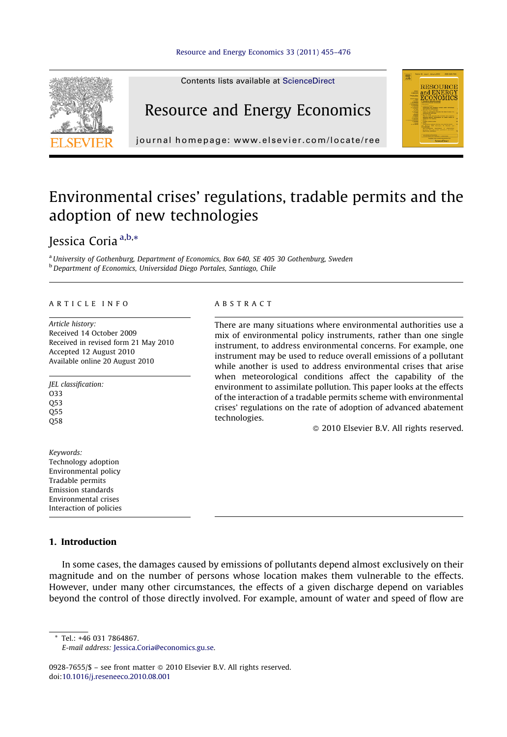

Contents lists available at [ScienceDirect](http://www.sciencedirect.com/science/journal/09287655)

### Resource and Energy Economics



journal homepage: www.elsevier.com/locate/ree

## Environmental crises' regulations, tradable permits and the adoption of new technologies

### Jessica Coria <sup>a,b,</sup>\*

<sup>a</sup> University of Gothenburg, Department of Economics, Box 640, SE 405 30 Gothenburg, Sweden <sup>b</sup> Department of Economics, Universidad Diego Portales, Santiago, Chile

#### ARTICLE INFO

Article history: Received 14 October 2009 Received in revised form 21 May 2010 Accepted 12 August 2010 Available online 20 August 2010

JEL classification: O33 Q53 Q55 Q58

Keywords: Technology adoption Environmental policy Tradable permits Emission standards Environmental crises Interaction of policies

#### 1. Introduction

In some cases, the damages caused by emissions of pollutants depend almost exclusively on their magnitude and on the number of persons whose location makes them vulnerable to the effects. However, under many other circumstances, the effects of a given discharge depend on variables beyond the control of those directly involved. For example, amount of water and speed of flow are

\* Tel.: +46 031 7864867.

E-mail address: [Jessica.Coria@economics.gu.se](mailto:Jessica.Coria@economics.gu.se).

0928-7655/\$ – see front matter © 2010 Elsevier B.V. All rights reserved. doi[:10.1016/j.reseneeco.2010.08.001](http://dx.doi.org/10.1016/j.reseneeco.2010.08.001)

#### ABSTRACT

There are many situations where environmental authorities use a mix of environmental policy instruments, rather than one single instrument, to address environmental concerns. For example, one instrument may be used to reduce overall emissions of a pollutant while another is used to address environmental crises that arise when meteorological conditions affect the capability of the environment to assimilate pollution. This paper looks at the effects of the interaction of a tradable permits scheme with environmental crises' regulations on the rate of adoption of advanced abatement technologies.

- 2010 Elsevier B.V. All rights reserved.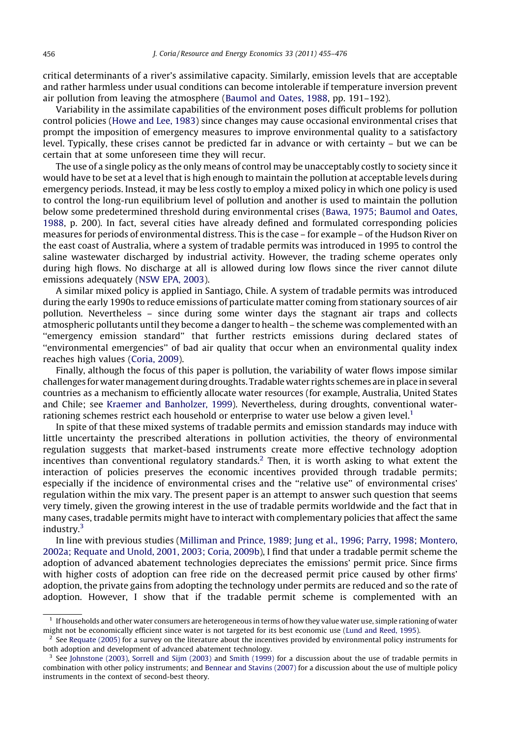critical determinants of a river's assimilative capacity. Similarly, emission levels that are acceptable and rather harmless under usual conditions can become intolerable if temperature inversion prevent air pollution from leaving the atmosphere [\(Baumol and Oates, 1988](#page--1-0), pp. 191–192).

Variability in the assimilate capabilities of the environment poses difficult problems for pollution control policies ([Howe and Lee, 1983\)](#page--1-0) since changes may cause occasional environmental crises that prompt the imposition of emergency measures to improve environmental quality to a satisfactory level. Typically, these crises cannot be predicted far in advance or with certainty – but we can be certain that at some unforeseen time they will recur.

The use of a single policy as the only means of control may be unacceptably costly to society since it would have to be set at a level that is high enough to maintain the pollution at acceptable levels during emergency periods. Instead, it may be less costly to employ a mixed policy in which one policy is used to control the long-run equilibrium level of pollution and another is used to maintain the pollution below some predetermined threshold during environmental crises ([Bawa, 1975; Baumol and Oates,](#page--1-0) [1988](#page--1-0), p. 200). In fact, several cities have already defined and formulated corresponding policies measures for periods of environmental distress. This is the case – for example – of the Hudson River on the east coast of Australia, where a system of tradable permits was introduced in 1995 to control the saline wastewater discharged by industrial activity. However, the trading scheme operates only during high flows. No discharge at all is allowed during low flows since the river cannot dilute emissions adequately [\(NSW EPA, 2003\)](#page--1-0).

A similar mixed policy is applied in Santiago, Chile. A system of tradable permits was introduced during the early 1990s to reduce emissions of particulate matter coming from stationary sources of air pollution. Nevertheless – since during some winter days the stagnant air traps and collects atmospheric pollutants until they become a danger to health – the scheme was complemented with an ''emergency emission standard'' that further restricts emissions during declared states of ''environmental emergencies'' of bad air quality that occur when an environmental quality index reaches high values [\(Coria, 2009\)](#page--1-0).

Finally, although the focus of this paper is pollution, the variability of water flows impose similar challenges forwatermanagement during droughts. Tradable water rights schemes are in place in several countries as a mechanism to efficiently allocate water resources (for example, Australia, United States and Chile; see [Kraemer and Banholzer, 1999](#page--1-0)). Nevertheless, during droughts, conventional waterrationing schemes restrict each household or enterprise to water use below a given level.<sup>1</sup>

In spite of that these mixed systems of tradable permits and emission standards may induce with little uncertainty the prescribed alterations in pollution activities, the theory of environmental regulation suggests that market-based instruments create more effective technology adoption incentives than conventional regulatory standards.<sup>2</sup> Then, it is worth asking to what extent the interaction of policies preserves the economic incentives provided through tradable permits; especially if the incidence of environmental crises and the ''relative use'' of environmental crises' regulation within the mix vary. The present paper is an attempt to answer such question that seems very timely, given the growing interest in the use of tradable permits worldwide and the fact that in many cases, tradable permits might have to interact with complementary policies that affect the same industry.<sup>3</sup>

In line with previous studies ([Milliman and Prince, 1989; Jung et al., 1996; Parry, 1998; Montero,](#page--1-0) [2002a; Requate and Unold, 2001, 2003; Coria, 2009b\)](#page--1-0), I find that under a tradable permit scheme the adoption of advanced abatement technologies depreciates the emissions' permit price. Since firms with higher costs of adoption can free ride on the decreased permit price caused by other firms' adoption, the private gains from adopting the technology under permits are reduced and so the rate of adoption. However, I show that if the tradable permit scheme is complemented with an

 $1$  If households and other water consumers are heterogeneous in terms of how they value water use, simple rationing of water might not be economically efficient since water is not targeted for its best economic use [\(Lund and Reed, 1995](#page--1-0)).

 $<sup>2</sup>$  See [Requate \(2005\)](#page--1-0) for a survey on the literature about the incentives provided by environmental policy instruments for</sup> both adoption and development of advanced abatement technology.

 $3$  See [Johnstone \(2003\),](#page--1-0) [Sorrell and Sijm \(2003\)](#page--1-0) and [Smith \(1999\)](#page--1-0) for a discussion about the use of tradable permits in combination with other policy instruments; and [Bennear and Stavins \(2007\)](#page--1-0) for a discussion about the use of multiple policy instruments in the context of second-best theory.